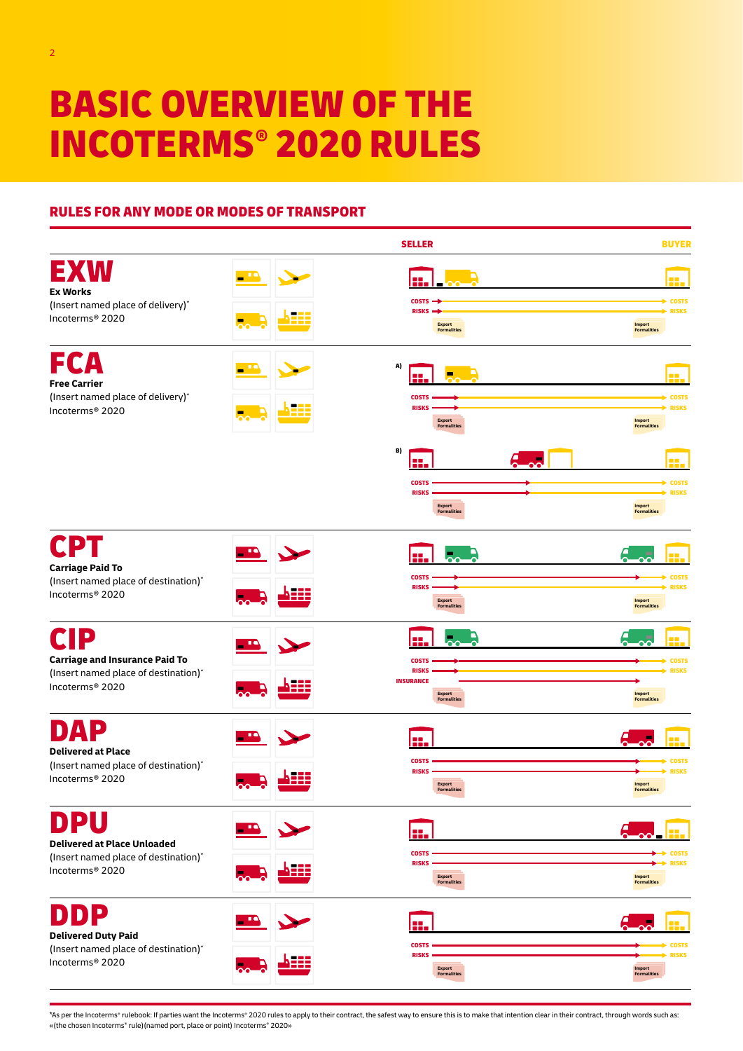# BASIC OVERVIEW OF THE INCOTERMS® 2020 RULES

# RULES FOR ANY MODE OR MODES OF TRANSPORT



\*As per the Incoterms® rulebook: If parties want the Incoterms® 2020 rules to apply to their contract, the safest way to ensure this is to make that intention clear in their contract, through words such as: «(the chosen Incoterms® rule)(named port, place or point) Incoterms® 2020»